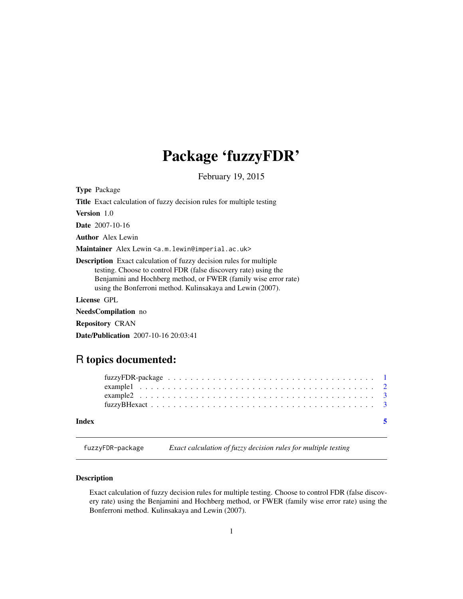## <span id="page-0-0"></span>Package 'fuzzyFDR'

February 19, 2015

Type Package Title Exact calculation of fuzzy decision rules for multiple testing Version 1.0 Date 2007-10-16 Author Alex Lewin Maintainer Alex Lewin <a.m.lewin@imperial.ac.uk> Description Exact calculation of fuzzy decision rules for multiple testing. Choose to control FDR (false discovery rate) using the Benjamini and Hochberg method, or FWER (family wise error rate) using the Bonferroni method. Kulinsakaya and Lewin (2007). License GPL NeedsCompilation no

Repository CRAN

Date/Publication 2007-10-16 20:03:41

### R topics documented:

| Index |  |  |  |  |  |  |  |  |  |  |  |  |  |  |  |  |  |  |
|-------|--|--|--|--|--|--|--|--|--|--|--|--|--|--|--|--|--|--|

fuzzyFDR-package *Exact calculation of fuzzy decision rules for multiple testing*

#### **Description**

Exact calculation of fuzzy decision rules for multiple testing. Choose to control FDR (false discovery rate) using the Benjamini and Hochberg method, or FWER (family wise error rate) using the Bonferroni method. Kulinsakaya and Lewin (2007).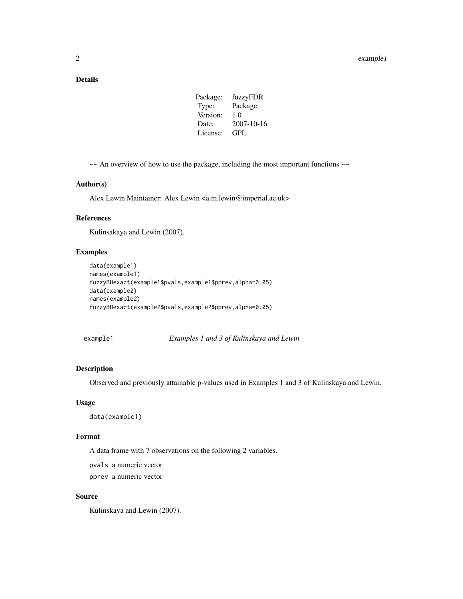#### <span id="page-1-0"></span>Details

| Package: | fuzzyFDR   |
|----------|------------|
| Type:    | Package    |
| Version: | 1.0        |
| Date:    | 2007-10-16 |
| License: | GPL.       |
|          |            |

~~ An overview of how to use the package, including the most important functions ~~

#### Author(s)

Alex Lewin Maintainer: Alex Lewin <a.m.lewin@imperial.ac.uk>

#### References

Kulinsakaya and Lewin (2007).

#### Examples

```
data(example1)
names(example1)
fuzzyBHexact(example1$pvals,example1$pprev,alpha=0.05)
data(example2)
names(example2)
fuzzyBHexact(example2$pvals,example2$pprev,alpha=0.05)
```
example1 *Examples 1 and 3 of Kulinskaya and Lewin*

#### Description

Observed and previously attainable p-values used in Examples 1 and 3 of Kulinskaya and Lewin.

#### Usage

```
data(example1)
```
#### Format

A data frame with 7 observations on the following 2 variables.

pvals a numeric vector

pprev a numeric vector

#### Source

Kulinskaya and Lewin (2007).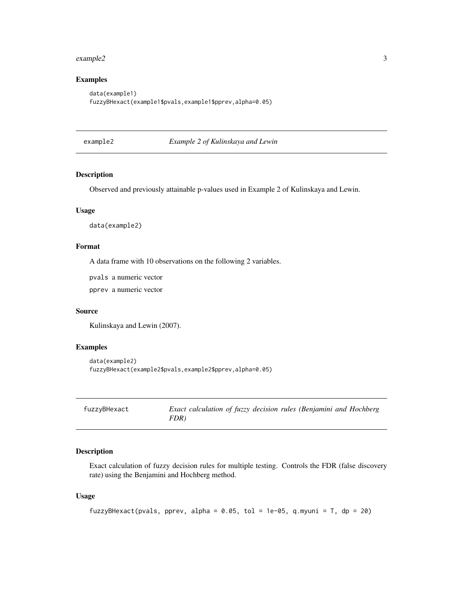#### <span id="page-2-0"></span>example2 3

#### Examples

```
data(example1)
fuzzyBHexact(example1$pvals,example1$pprev,alpha=0.05)
```
example2 *Example 2 of Kulinskaya and Lewin*

#### **Description**

Observed and previously attainable p-values used in Example 2 of Kulinskaya and Lewin.

#### Usage

data(example2)

#### Format

A data frame with 10 observations on the following 2 variables.

pvals a numeric vector

pprev a numeric vector

#### Source

Kulinskaya and Lewin (2007).

#### Examples

```
data(example2)
fuzzyBHexact(example2$pvals,example2$pprev,alpha=0.05)
```

| fuzzyBHexact | Exact calculation of fuzzy decision rules (Benjamini and Hochberg |
|--------------|-------------------------------------------------------------------|
|              | FDR)                                                              |

#### Description

Exact calculation of fuzzy decision rules for multiple testing. Controls the FDR (false discovery rate) using the Benjamini and Hochberg method.

#### Usage

```
fuzzyBHexact(pvals, pprev, alpha = 0.05, tol = 1e-05, q.myuni = T, dp = 20)
```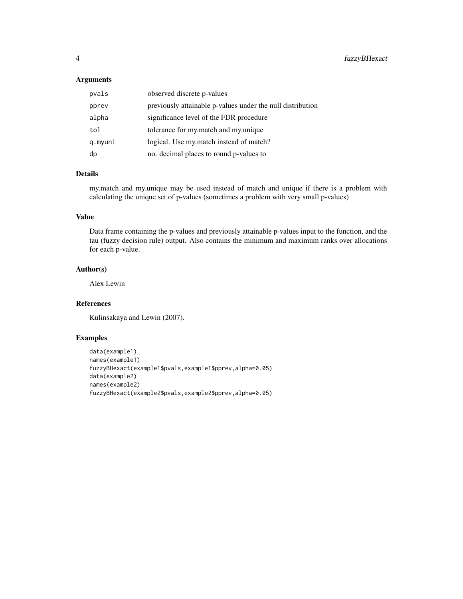#### Arguments

| pvals   | observed discrete p-values                                 |
|---------|------------------------------------------------------------|
| pprev   | previously attainable p-values under the null distribution |
| alpha   | significance level of the FDR procedure                    |
| tol     | tolerance for my match and my unique                       |
| q.myuni | logical. Use my match instead of match?                    |
| dp      | no. decimal places to round p-values to                    |

#### Details

my.match and my.unique may be used instead of match and unique if there is a problem with calculating the unique set of p-values (sometimes a problem with very small p-values)

#### Value

Data frame containing the p-values and previously attainable p-values input to the function, and the tau (fuzzy decision rule) output. Also contains the minimum and maximum ranks over allocations for each p-value.

#### Author(s)

Alex Lewin

#### References

Kulinsakaya and Lewin (2007).

#### Examples

```
data(example1)
names(example1)
fuzzyBHexact(example1$pvals,example1$pprev,alpha=0.05)
data(example2)
names(example2)
fuzzyBHexact(example2$pvals,example2$pprev,alpha=0.05)
```